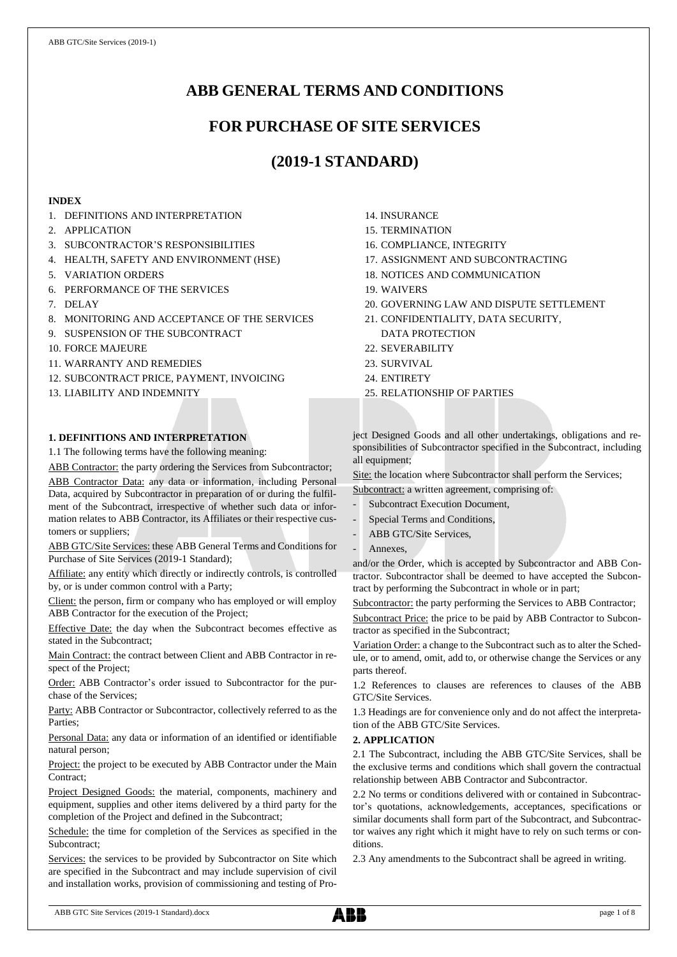# **ABB GENERAL TERMS AND CONDITIONS**

# **FOR PURCHASE OF SITE SERVICES**

# **(2019-1 STANDARD)**

# **INDEX**

- 1. DEFINITIONS AND INTERPRETATION
- 2. APPLICATION
- 3. SUBCONTRACTOR'S RESPONSIBILITIES
- 4. HEALTH, SAFETY AND ENVIRONMENT (HSE)
- 5. VARIATION ORDERS
- 6. PERFORMANCE OF THE SERVICES
- 7. DELAY
- 8. MONITORING AND ACCEPTANCE OF THE SERVICES
- 9. SUSPENSION OF THE SUBCONTRACT
- 10. FORCE MAJEURE
- 11. WARRANTY AND REMEDIES
- 12. SUBCONTRACT PRICE, PAYMENT, INVOICING
- 13. LIABILITY AND INDEMNITY

# **1. DEFINITIONS AND INTERPRETATION**

1.1 The following terms have the following meaning:

ABB Contractor: the party ordering the Services from Subcontractor; ABB Contractor Data: any data or information, including Personal Data, acquired by Subcontractor in preparation of or during the fulfilment of the Subcontract, irrespective of whether such data or information relates to ABB Contractor, its Affiliates or their respective customers or suppliers;

ABB GTC/Site Services: these ABB General Terms and Conditions for Purchase of Site Services (2019-1 Standard);

Affiliate: any entity which directly or indirectly controls, is controlled by, or is under common control with a Party;

Client: the person, firm or company who has employed or will employ ABB Contractor for the execution of the Project;

Effective Date: the day when the Subcontract becomes effective as stated in the Subcontract;

Main Contract: the contract between Client and ABB Contractor in respect of the Project;

Order: ABB Contractor's order issued to Subcontractor for the purchase of the Services;

Party: ABB Contractor or Subcontractor, collectively referred to as the Parties;

Personal Data: any data or information of an identified or identifiable natural person;

Project: the project to be executed by ABB Contractor under the Main Contract;

Project Designed Goods: the material, components, machinery and equipment, supplies and other items delivered by a third party for the completion of the Project and defined in the Subcontract;

Schedule: the time for completion of the Services as specified in the Subcontract;

Services: the services to be provided by Subcontractor on Site which are specified in the Subcontract and may include supervision of civil and installation works, provision of commissioning and testing of Pro-

- 14. INSURANCE
- 15. TERMINATION
- 16. COMPLIANCE, INTEGRITY
- 17. ASSIGNMENT AND SUBCONTRACTING
- 18. NOTICES AND COMMUNICATION
- 19. WAIVERS
- 20. GOVERNING LAW AND DISPUTE SETTLEMENT
- 21. CONFIDENTIALITY, DATA SECURITY, DATA PROTECTION
- 22. SEVERABILITY
- 23. SURVIVAL
- 24. ENTIRETY
- 25. RELATIONSHIP OF PARTIES

ject Designed Goods and all other undertakings, obligations and responsibilities of Subcontractor specified in the Subcontract, including all equipment;

Site: the location where Subcontractor shall perform the Services;

Subcontract: a written agreement, comprising of:

- Subcontract Execution Document,
- Special Terms and Conditions,
- ABB GTC/Site Services,
- Annexes,

and/or the Order, which is accepted by Subcontractor and ABB Contractor. Subcontractor shall be deemed to have accepted the Subcontract by performing the Subcontract in whole or in part;

Subcontractor: the party performing the Services to ABB Contractor;

Subcontract Price: the price to be paid by ABB Contractor to Subcontractor as specified in the Subcontract;

Variation Order: a change to the Subcontract such as to alter the Schedule, or to amend, omit, add to, or otherwise change the Services or any parts thereof.

1.2 References to clauses are references to clauses of the ABB GTC/Site Services.

1.3 Headings are for convenience only and do not affect the interpretation of the ABB GTC/Site Services.

# **2. APPLICATION**

2.1 The Subcontract, including the ABB GTC/Site Services, shall be the exclusive terms and conditions which shall govern the contractual relationship between ABB Contractor and Subcontractor.

2.2 No terms or conditions delivered with or contained in Subcontractor's quotations, acknowledgements, acceptances, specifications or similar documents shall form part of the Subcontract, and Subcontractor waives any right which it might have to rely on such terms or conditions.

2.3 Any amendments to the Subcontract shall be agreed in writing.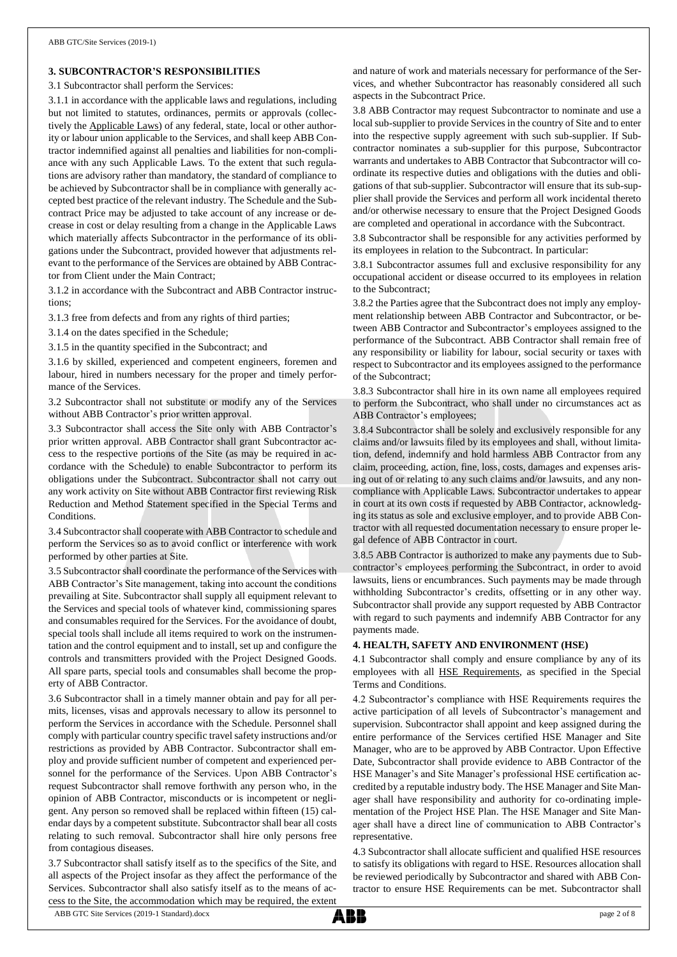## **3. SUBCONTRACTOR'S RESPONSIBILITIES**

#### 3.1 Subcontractor shall perform the Services:

3.1.1 in accordance with the applicable laws and regulations, including but not limited to statutes, ordinances, permits or approvals (collectively the Applicable Laws) of any federal, state, local or other authority or labour union applicable to the Services, and shall keep ABB Contractor indemnified against all penalties and liabilities for non-compliance with any such Applicable Laws. To the extent that such regulations are advisory rather than mandatory, the standard of compliance to be achieved by Subcontractor shall be in compliance with generally accepted best practice of the relevant industry. The Schedule and the Subcontract Price may be adjusted to take account of any increase or decrease in cost or delay resulting from a change in the Applicable Laws which materially affects Subcontractor in the performance of its obligations under the Subcontract, provided however that adjustments relevant to the performance of the Services are obtained by ABB Contractor from Client under the Main Contract;

3.1.2 in accordance with the Subcontract and ABB Contractor instructions;

3.1.3 free from defects and from any rights of third parties;

3.1.4 on the dates specified in the Schedule;

3.1.5 in the quantity specified in the Subcontract; and

3.1.6 by skilled, experienced and competent engineers, foremen and labour, hired in numbers necessary for the proper and timely performance of the Services.

3.2 Subcontractor shall not substitute or modify any of the Services without ABB Contractor's prior written approval.

3.3 Subcontractor shall access the Site only with ABB Contractor's prior written approval. ABB Contractor shall grant Subcontractor access to the respective portions of the Site (as may be required in accordance with the Schedule) to enable Subcontractor to perform its obligations under the Subcontract. Subcontractor shall not carry out any work activity on Site without ABB Contractor first reviewing Risk Reduction and Method Statement specified in the Special Terms and Conditions.

3.4 Subcontractorshall cooperate with ABB Contractor to schedule and perform the Services so as to avoid conflict or interference with work performed by other parties at Site.

3.5 Subcontractor shall coordinate the performance of the Services with ABB Contractor's Site management, taking into account the conditions prevailing at Site. Subcontractor shall supply all equipment relevant to the Services and special tools of whatever kind, commissioning spares and consumables required for the Services. For the avoidance of doubt, special tools shall include all items required to work on the instrumentation and the control equipment and to install, set up and configure the controls and transmitters provided with the Project Designed Goods. All spare parts, special tools and consumables shall become the property of ABB Contractor.

3.6 Subcontractor shall in a timely manner obtain and pay for all permits, licenses, visas and approvals necessary to allow its personnel to perform the Services in accordance with the Schedule. Personnel shall comply with particular country specific travel safety instructions and/or restrictions as provided by ABB Contractor. Subcontractor shall employ and provide sufficient number of competent and experienced personnel for the performance of the Services. Upon ABB Contractor's request Subcontractor shall remove forthwith any person who, in the opinion of ABB Contractor, misconducts or is incompetent or negligent. Any person so removed shall be replaced within fifteen (15) calendar days by a competent substitute. Subcontractor shall bear all costs relating to such removal. Subcontractor shall hire only persons free from contagious diseases.

3.7 Subcontractor shall satisfy itself as to the specifics of the Site, and all aspects of the Project insofar as they affect the performance of the Services. Subcontractor shall also satisfy itself as to the means of access to the Site, the accommodation which may be required, the extent and nature of work and materials necessary for performance of the Services, and whether Subcontractor has reasonably considered all such aspects in the Subcontract Price.

3.8 ABB Contractor may request Subcontractor to nominate and use a local sub-supplier to provide Services in the country of Site and to enter into the respective supply agreement with such sub-supplier. If Subcontractor nominates a sub-supplier for this purpose, Subcontractor warrants and undertakes to ABB Contractor that Subcontractor will coordinate its respective duties and obligations with the duties and obligations of that sub-supplier. Subcontractor will ensure that its sub-supplier shall provide the Services and perform all work incidental thereto and/or otherwise necessary to ensure that the Project Designed Goods are completed and operational in accordance with the Subcontract.

3.8 Subcontractor shall be responsible for any activities performed by its employees in relation to the Subcontract. In particular:

3.8.1 Subcontractor assumes full and exclusive responsibility for any occupational accident or disease occurred to its employees in relation to the Subcontract;

3.8.2 the Parties agree that the Subcontract does not imply any employment relationship between ABB Contractor and Subcontractor, or between ABB Contractor and Subcontractor's employees assigned to the performance of the Subcontract. ABB Contractor shall remain free of any responsibility or liability for labour, social security or taxes with respect to Subcontractor and its employees assigned to the performance of the Subcontract;

3.8.3 Subcontractor shall hire in its own name all employees required to perform the Subcontract, who shall under no circumstances act as ABB Contractor's employees;

3.8.4 Subcontractor shall be solely and exclusively responsible for any claims and/or lawsuits filed by its employees and shall, without limitation, defend, indemnify and hold harmless ABB Contractor from any claim, proceeding, action, fine, loss, costs, damages and expenses arising out of or relating to any such claims and/or lawsuits, and any noncompliance with Applicable Laws. Subcontractor undertakes to appear in court at its own costs if requested by ABB Contractor, acknowledging its status as sole and exclusive employer, and to provide ABB Contractor with all requested documentation necessary to ensure proper legal defence of ABB Contractor in court.

3.8.5 ABB Contractor is authorized to make any payments due to Subcontractor's employees performing the Subcontract, in order to avoid lawsuits, liens or encumbrances. Such payments may be made through withholding Subcontractor's credits, offsetting or in any other way. Subcontractor shall provide any support requested by ABB Contractor with regard to such payments and indemnify ABB Contractor for any payments made.

#### **4. HEALTH, SAFETY AND ENVIRONMENT (HSE)**

4.1 Subcontractor shall comply and ensure compliance by any of its employees with all HSE Requirements, as specified in the Special Terms and Conditions.

4.2 Subcontractor's compliance with HSE Requirements requires the active participation of all levels of Subcontractor's management and supervision. Subcontractor shall appoint and keep assigned during the entire performance of the Services certified HSE Manager and Site Manager, who are to be approved by ABB Contractor. Upon Effective Date, Subcontractor shall provide evidence to ABB Contractor of the HSE Manager's and Site Manager's professional HSE certification accredited by a reputable industry body. The HSE Manager and Site Manager shall have responsibility and authority for co-ordinating implementation of the Project HSE Plan. The HSE Manager and Site Manager shall have a direct line of communication to ABB Contractor's representative.

4.3 Subcontractor shall allocate sufficient and qualified HSE resources to satisfy its obligations with regard to HSE. Resources allocation shall be reviewed periodically by Subcontractor and shared with ABB Contractor to ensure HSE Requirements can be met. Subcontractor shall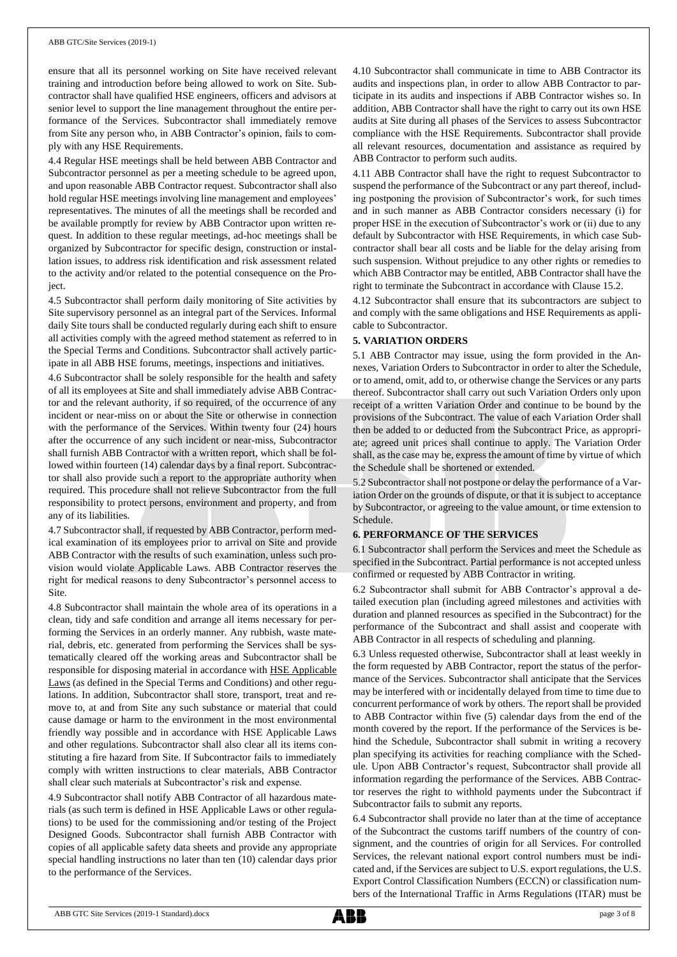#### ABB GTC/Site Services (2019-1)

ensure that all its personnel working on Site have received relevant training and introduction before being allowed to work on Site. Subcontractor shall have qualified HSE engineers, officers and advisors at senior level to support the line management throughout the entire performance of the Services. Subcontractor shall immediately remove from Site any person who, in ABB Contractor's opinion, fails to comply with any HSE Requirements.

4.4 Regular HSE meetings shall be held between ABB Contractor and Subcontractor personnel as per a meeting schedule to be agreed upon, and upon reasonable ABB Contractor request. Subcontractor shall also hold regular HSE meetings involving line management and employees' representatives. The minutes of all the meetings shall be recorded and be available promptly for review by ABB Contractor upon written request. In addition to these regular meetings, ad-hoc meetings shall be organized by Subcontractor for specific design, construction or installation issues, to address risk identification and risk assessment related to the activity and/or related to the potential consequence on the Project.

4.5 Subcontractor shall perform daily monitoring of Site activities by Site supervisory personnel as an integral part of the Services. Informal daily Site tours shall be conducted regularly during each shift to ensure all activities comply with the agreed method statement as referred to in the Special Terms and Conditions. Subcontractor shall actively participate in all ABB HSE forums, meetings, inspections and initiatives.

4.6 Subcontractor shall be solely responsible for the health and safety of all its employees at Site and shall immediately advise ABB Contractor and the relevant authority, if so required, of the occurrence of any incident or near-miss on or about the Site or otherwise in connection with the performance of the Services. Within twenty four (24) hours after the occurrence of any such incident or near-miss, Subcontractor shall furnish ABB Contractor with a written report, which shall be followed within fourteen (14) calendar days by a final report. Subcontractor shall also provide such a report to the appropriate authority when required. This procedure shall not relieve Subcontractor from the full responsibility to protect persons, environment and property, and from any of its liabilities.

4.7 Subcontractor shall, if requested by ABB Contractor, perform medical examination of its employees prior to arrival on Site and provide ABB Contractor with the results of such examination, unless such provision would violate Applicable Laws. ABB Contractor reserves the right for medical reasons to deny Subcontractor's personnel access to Site.

4.8 Subcontractor shall maintain the whole area of its operations in a clean, tidy and safe condition and arrange all items necessary for performing the Services in an orderly manner. Any rubbish, waste material, debris, etc. generated from performing the Services shall be systematically cleared off the working areas and Subcontractor shall be responsible for disposing material in accordance with HSE Applicable Laws (as defined in the Special Terms and Conditions) and other regulations. In addition, Subcontractor shall store, transport, treat and remove to, at and from Site any such substance or material that could cause damage or harm to the environment in the most environmental friendly way possible and in accordance with HSE Applicable Laws and other regulations. Subcontractor shall also clear all its items constituting a fire hazard from Site. If Subcontractor fails to immediately comply with written instructions to clear materials, ABB Contractor shall clear such materials at Subcontractor's risk and expense.

4.9 Subcontractor shall notify ABB Contractor of all hazardous materials (as such term is defined in HSE Applicable Laws or other regulations) to be used for the commissioning and/or testing of the Project Designed Goods. Subcontractor shall furnish ABB Contractor with copies of all applicable safety data sheets and provide any appropriate special handling instructions no later than ten (10) calendar days prior to the performance of the Services.

4.10 Subcontractor shall communicate in time to ABB Contractor its audits and inspections plan, in order to allow ABB Contractor to participate in its audits and inspections if ABB Contractor wishes so. In addition, ABB Contractor shall have the right to carry out its own HSE audits at Site during all phases of the Services to assess Subcontractor compliance with the HSE Requirements. Subcontractor shall provide all relevant resources, documentation and assistance as required by ABB Contractor to perform such audits.

4.11 ABB Contractor shall have the right to request Subcontractor to suspend the performance of the Subcontract or any part thereof, including postponing the provision of Subcontractor's work, for such times and in such manner as ABB Contractor considers necessary (i) for proper HSE in the execution of Subcontractor's work or (ii) due to any default by Subcontractor with HSE Requirements, in which case Subcontractor shall bear all costs and be liable for the delay arising from such suspension. Without prejudice to any other rights or remedies to which ABB Contractor may be entitled, ABB Contractor shall have the right to terminate the Subcontract in accordance with Clause 15.2.

4.12 Subcontractor shall ensure that its subcontractors are subject to and comply with the same obligations and HSE Requirements as applicable to Subcontractor.

## **5. VARIATION ORDERS**

5.1 ABB Contractor may issue, using the form provided in the Annexes, Variation Orders to Subcontractor in order to alter the Schedule, or to amend, omit, add to, or otherwise change the Services or any parts thereof. Subcontractor shall carry out such Variation Orders only upon receipt of a written Variation Order and continue to be bound by the provisions of the Subcontract. The value of each Variation Order shall then be added to or deducted from the Subcontract Price, as appropriate; agreed unit prices shall continue to apply. The Variation Order shall, as the case may be, express the amount of time by virtue of which the Schedule shall be shortened or extended.

5.2 Subcontractor shall not postpone or delay the performance of a Variation Order on the grounds of dispute, or that it is subject to acceptance by Subcontractor, or agreeing to the value amount, or time extension to Schedule.

# **6. PERFORMANCE OF THE SERVICES**

6.1 Subcontractor shall perform the Services and meet the Schedule as specified in the Subcontract. Partial performance is not accepted unless confirmed or requested by ABB Contractor in writing.

6.2 Subcontractor shall submit for ABB Contractor's approval a detailed execution plan (including agreed milestones and activities with duration and planned resources as specified in the Subcontract) for the performance of the Subcontract and shall assist and cooperate with ABB Contractor in all respects of scheduling and planning.

6.3 Unless requested otherwise, Subcontractor shall at least weekly in the form requested by ABB Contractor, report the status of the performance of the Services. Subcontractor shall anticipate that the Services may be interfered with or incidentally delayed from time to time due to concurrent performance of work by others. The report shall be provided to ABB Contractor within five (5) calendar days from the end of the month covered by the report. If the performance of the Services is behind the Schedule, Subcontractor shall submit in writing a recovery plan specifying its activities for reaching compliance with the Schedule. Upon ABB Contractor's request, Subcontractor shall provide all information regarding the performance of the Services. ABB Contractor reserves the right to withhold payments under the Subcontract if Subcontractor fails to submit any reports.

6.4 Subcontractor shall provide no later than at the time of acceptance of the Subcontract the customs tariff numbers of the country of consignment, and the countries of origin for all Services. For controlled Services, the relevant national export control numbers must be indicated and, if the Services are subject to U.S. export regulations, the U.S. Export Control Classification Numbers (ECCN) or classification numbers of the International Traffic in Arms Regulations (ITAR) must be

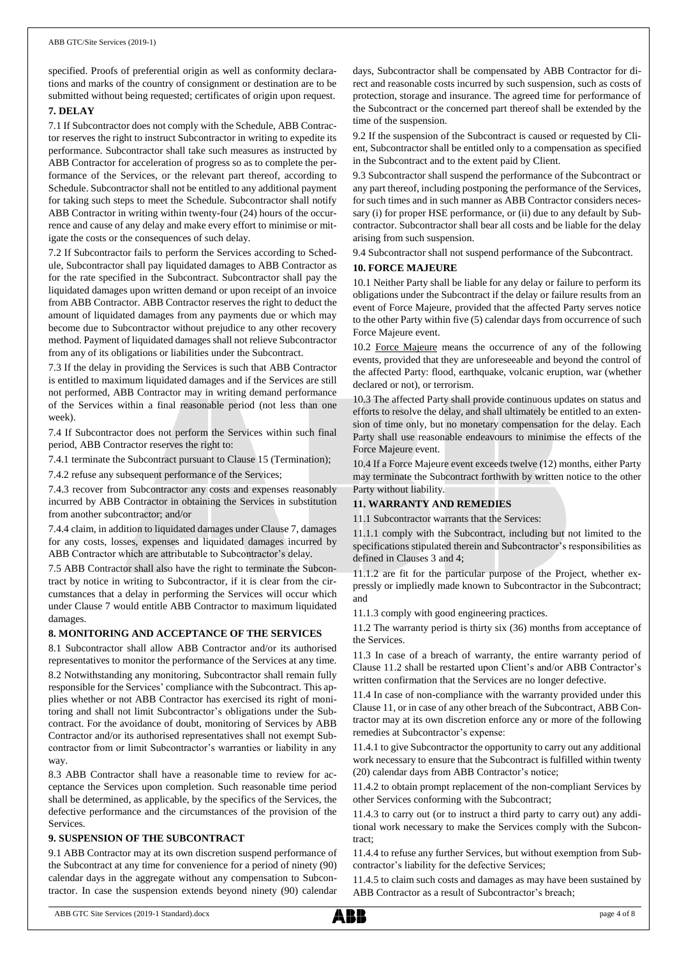specified. Proofs of preferential origin as well as conformity declarations and marks of the country of consignment or destination are to be submitted without being requested; certificates of origin upon request.

### **7. DELAY**

7.1 If Subcontractor does not comply with the Schedule, ABB Contractor reserves the right to instruct Subcontractor in writing to expedite its performance. Subcontractor shall take such measures as instructed by ABB Contractor for acceleration of progress so as to complete the performance of the Services, or the relevant part thereof, according to Schedule. Subcontractor shall not be entitled to any additional payment for taking such steps to meet the Schedule. Subcontractor shall notify ABB Contractor in writing within twenty-four (24) hours of the occurrence and cause of any delay and make every effort to minimise or mitigate the costs or the consequences of such delay.

7.2 If Subcontractor fails to perform the Services according to Schedule, Subcontractor shall pay liquidated damages to ABB Contractor as for the rate specified in the Subcontract. Subcontractor shall pay the liquidated damages upon written demand or upon receipt of an invoice from ABB Contractor. ABB Contractor reserves the right to deduct the amount of liquidated damages from any payments due or which may become due to Subcontractor without prejudice to any other recovery method. Payment of liquidated damages shall not relieve Subcontractor from any of its obligations or liabilities under the Subcontract.

7.3 If the delay in providing the Services is such that ABB Contractor is entitled to maximum liquidated damages and if the Services are still not performed, ABB Contractor may in writing demand performance of the Services within a final reasonable period (not less than one week).

7.4 If Subcontractor does not perform the Services within such final period, ABB Contractor reserves the right to:

7.4.1 terminate the Subcontract pursuant to Clause 15 (Termination);

7.4.2 refuse any subsequent performance of the Services;

7.4.3 recover from Subcontractor any costs and expenses reasonably incurred by ABB Contractor in obtaining the Services in substitution from another subcontractor; and/or

7.4.4 claim, in addition to liquidated damages under Clause 7, damages for any costs, losses, expenses and liquidated damages incurred by ABB Contractor which are attributable to Subcontractor's delay.

7.5 ABB Contractor shall also have the right to terminate the Subcontract by notice in writing to Subcontractor, if it is clear from the circumstances that a delay in performing the Services will occur which under Clause 7 would entitle ABB Contractor to maximum liquidated damages.

#### **8. MONITORING AND ACCEPTANCE OF THE SERVICES**

8.1 Subcontractor shall allow ABB Contractor and/or its authorised representatives to monitor the performance of the Services at any time. 8.2 Notwithstanding any monitoring, Subcontractor shall remain fully responsible for the Services' compliance with the Subcontract. This applies whether or not ABB Contractor has exercised its right of monitoring and shall not limit Subcontractor's obligations under the Subcontract. For the avoidance of doubt, monitoring of Services by ABB Contractor and/or its authorised representatives shall not exempt Subcontractor from or limit Subcontractor's warranties or liability in any way.

8.3 ABB Contractor shall have a reasonable time to review for acceptance the Services upon completion. Such reasonable time period shall be determined, as applicable, by the specifics of the Services, the defective performance and the circumstances of the provision of the Services.

#### **9. SUSPENSION OF THE SUBCONTRACT**

9.1 ABB Contractor may at its own discretion suspend performance of the Subcontract at any time for convenience for a period of ninety (90) calendar days in the aggregate without any compensation to Subcontractor. In case the suspension extends beyond ninety (90) calendar days, Subcontractor shall be compensated by ABB Contractor for direct and reasonable costs incurred by such suspension, such as costs of protection, storage and insurance. The agreed time for performance of the Subcontract or the concerned part thereof shall be extended by the time of the suspension.

9.2 If the suspension of the Subcontract is caused or requested by Client, Subcontractor shall be entitled only to a compensation as specified in the Subcontract and to the extent paid by Client.

9.3 Subcontractor shall suspend the performance of the Subcontract or any part thereof, including postponing the performance of the Services, for such times and in such manner as ABB Contractor considers necessary (i) for proper HSE performance, or (ii) due to any default by Subcontractor. Subcontractor shall bear all costs and be liable for the delay arising from such suspension.

9.4 Subcontractor shall not suspend performance of the Subcontract.

### **10. FORCE MAJEURE**

10.1 Neither Party shall be liable for any delay or failure to perform its obligations under the Subcontract if the delay or failure results from an event of Force Majeure, provided that the affected Party serves notice to the other Party within five (5) calendar days from occurrence of such Force Majeure event.

10.2 Force Majeure means the occurrence of any of the following events, provided that they are unforeseeable and beyond the control of the affected Party: flood, earthquake, volcanic eruption, war (whether declared or not), or terrorism.

10.3 The affected Party shall provide continuous updates on status and efforts to resolve the delay, and shall ultimately be entitled to an extension of time only, but no monetary compensation for the delay. Each Party shall use reasonable endeavours to minimise the effects of the Force Majeure event.

10.4 If a Force Majeure event exceeds twelve (12) months, either Party may terminate the Subcontract forthwith by written notice to the other Party without liability.

# **11. WARRANTY AND REMEDIES**

11.1 Subcontractor warrants that the Services:

11.1.1 comply with the Subcontract, including but not limited to the specifications stipulated therein and Subcontractor's responsibilities as defined in Clauses 3 and 4;

11.1.2 are fit for the particular purpose of the Project, whether expressly or impliedly made known to Subcontractor in the Subcontract; and

11.1.3 comply with good engineering practices.

11.2 The warranty period is thirty six (36) months from acceptance of the Services.

11.3 In case of a breach of warranty, the entire warranty period of Clause 11.2 shall be restarted upon Client's and/or ABB Contractor's written confirmation that the Services are no longer defective.

11.4 In case of non-compliance with the warranty provided under this Clause 11, or in case of any other breach of the Subcontract, ABB Contractor may at its own discretion enforce any or more of the following remedies at Subcontractor's expense:

11.4.1 to give Subcontractor the opportunity to carry out any additional work necessary to ensure that the Subcontract is fulfilled within twenty (20) calendar days from ABB Contractor's notice;

11.4.2 to obtain prompt replacement of the non-compliant Services by other Services conforming with the Subcontract;

11.4.3 to carry out (or to instruct a third party to carry out) any additional work necessary to make the Services comply with the Subcontract;

11.4.4 to refuse any further Services, but without exemption from Subcontractor's liability for the defective Services;

11.4.5 to claim such costs and damages as may have been sustained by ABB Contractor as a result of Subcontractor's breach;

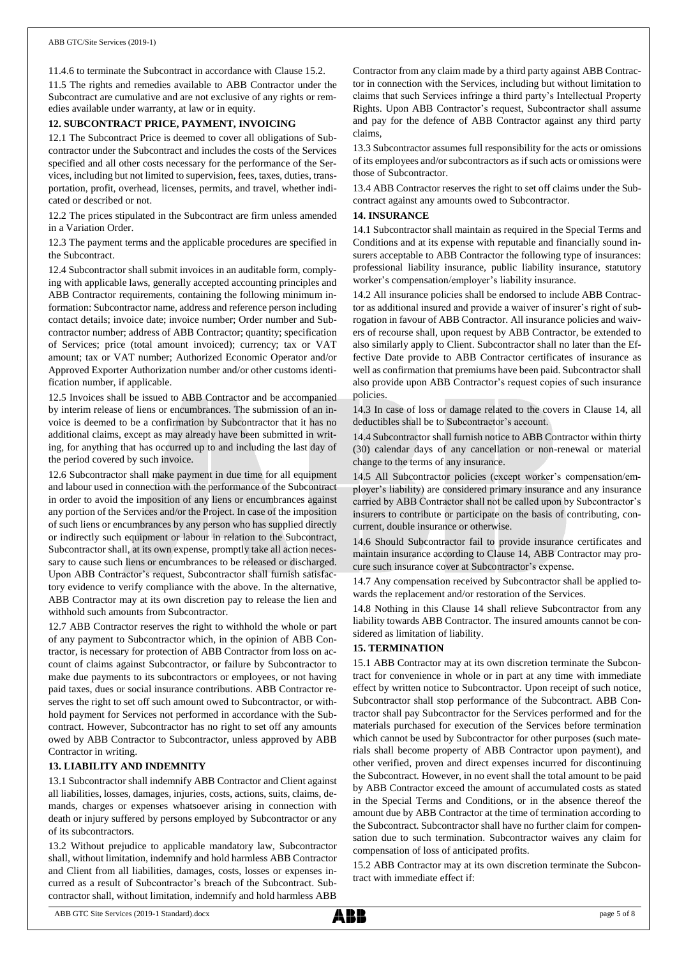11.4.6 to terminate the Subcontract in accordance with Clause 15.2.

11.5 The rights and remedies available to ABB Contractor under the Subcontract are cumulative and are not exclusive of any rights or remedies available under warranty, at law or in equity.

#### **12. SUBCONTRACT PRICE, PAYMENT, INVOICING**

12.1 The Subcontract Price is deemed to cover all obligations of Subcontractor under the Subcontract and includes the costs of the Services specified and all other costs necessary for the performance of the Services, including but not limited to supervision, fees, taxes, duties, transportation, profit, overhead, licenses, permits, and travel, whether indicated or described or not.

12.2 The prices stipulated in the Subcontract are firm unless amended in a Variation Order.

12.3 The payment terms and the applicable procedures are specified in the Subcontract.

12.4 Subcontractor shall submit invoices in an auditable form, complying with applicable laws, generally accepted accounting principles and ABB Contractor requirements, containing the following minimum information: Subcontractor name, address and reference person including contact details; invoice date; invoice number; Order number and Subcontractor number; address of ABB Contractor; quantity; specification of Services; price (total amount invoiced); currency; tax or VAT amount; tax or VAT number; Authorized Economic Operator and/or Approved Exporter Authorization number and/or other customs identification number, if applicable.

12.5 Invoices shall be issued to ABB Contractor and be accompanied by interim release of liens or encumbrances. The submission of an invoice is deemed to be a confirmation by Subcontractor that it has no additional claims, except as may already have been submitted in writing, for anything that has occurred up to and including the last day of the period covered by such invoice.

12.6 Subcontractor shall make payment in due time for all equipment and labour used in connection with the performance of the Subcontract in order to avoid the imposition of any liens or encumbrances against any portion of the Services and/or the Project. In case of the imposition of such liens or encumbrances by any person who has supplied directly or indirectly such equipment or labour in relation to the Subcontract, Subcontractor shall, at its own expense, promptly take all action necessary to cause such liens or encumbrances to be released or discharged. Upon ABB Contractor's request, Subcontractor shall furnish satisfactory evidence to verify compliance with the above. In the alternative, ABB Contractor may at its own discretion pay to release the lien and withhold such amounts from Subcontractor.

12.7 ABB Contractor reserves the right to withhold the whole or part of any payment to Subcontractor which, in the opinion of ABB Contractor, is necessary for protection of ABB Contractor from loss on account of claims against Subcontractor, or failure by Subcontractor to make due payments to its subcontractors or employees, or not having paid taxes, dues or social insurance contributions. ABB Contractor reserves the right to set off such amount owed to Subcontractor, or withhold payment for Services not performed in accordance with the Subcontract. However, Subcontractor has no right to set off any amounts owed by ABB Contractor to Subcontractor, unless approved by ABB Contractor in writing.

#### **13. LIABILITY AND INDEMNITY**

13.1 Subcontractor shall indemnify ABB Contractor and Client against all liabilities, losses, damages, injuries, costs, actions, suits, claims, demands, charges or expenses whatsoever arising in connection with death or injury suffered by persons employed by Subcontractor or any of its subcontractors.

13.2 Without prejudice to applicable mandatory law, Subcontractor shall, without limitation, indemnify and hold harmless ABB Contractor and Client from all liabilities, damages, costs, losses or expenses incurred as a result of Subcontractor's breach of the Subcontract. Subcontractor shall, without limitation, indemnify and hold harmless ABB

Contractor from any claim made by a third party against ABB Contractor in connection with the Services, including but without limitation to claims that such Services infringe a third party's Intellectual Property Rights. Upon ABB Contractor's request, Subcontractor shall assume and pay for the defence of ABB Contractor against any third party claims,

13.3 Subcontractor assumes full responsibility for the acts or omissions of its employees and/or subcontractors as if such acts or omissions were those of Subcontractor.

13.4 ABB Contractor reserves the right to set off claims under the Subcontract against any amounts owed to Subcontractor.

#### **14. INSURANCE**

14.1 Subcontractor shall maintain as required in the Special Terms and Conditions and at its expense with reputable and financially sound insurers acceptable to ABB Contractor the following type of insurances: professional liability insurance, public liability insurance, statutory worker's compensation/employer's liability insurance.

14.2 All insurance policies shall be endorsed to include ABB Contractor as additional insured and provide a waiver of insurer's right of subrogation in favour of ABB Contractor. All insurance policies and waivers of recourse shall, upon request by ABB Contractor, be extended to also similarly apply to Client. Subcontractor shall no later than the Effective Date provide to ABB Contractor certificates of insurance as well as confirmation that premiums have been paid. Subcontractor shall also provide upon ABB Contractor's request copies of such insurance policies.

14.3 In case of loss or damage related to the covers in Clause 14, all deductibles shall be to Subcontractor's account.

14.4 Subcontractor shall furnish notice to ABB Contractor within thirty (30) calendar days of any cancellation or non-renewal or material change to the terms of any insurance.

14.5 All Subcontractor policies (except worker's compensation/employer's liability) are considered primary insurance and any insurance carried by ABB Contractor shall not be called upon by Subcontractor's insurers to contribute or participate on the basis of contributing, concurrent, double insurance or otherwise.

14.6 Should Subcontractor fail to provide insurance certificates and maintain insurance according to Clause 14, ABB Contractor may procure such insurance cover at Subcontractor's expense.

14.7 Any compensation received by Subcontractor shall be applied towards the replacement and/or restoration of the Services.

14.8 Nothing in this Clause 14 shall relieve Subcontractor from any liability towards ABB Contractor. The insured amounts cannot be considered as limitation of liability.

## **15. TERMINATION**

15.1 ABB Contractor may at its own discretion terminate the Subcontract for convenience in whole or in part at any time with immediate effect by written notice to Subcontractor. Upon receipt of such notice, Subcontractor shall stop performance of the Subcontract. ABB Contractor shall pay Subcontractor for the Services performed and for the materials purchased for execution of the Services before termination which cannot be used by Subcontractor for other purposes (such materials shall become property of ABB Contractor upon payment), and other verified, proven and direct expenses incurred for discontinuing the Subcontract. However, in no event shall the total amount to be paid by ABB Contractor exceed the amount of accumulated costs as stated in the Special Terms and Conditions, or in the absence thereof the amount due by ABB Contractor at the time of termination according to the Subcontract. Subcontractor shall have no further claim for compensation due to such termination. Subcontractor waives any claim for compensation of loss of anticipated profits.

15.2 ABB Contractor may at its own discretion terminate the Subcontract with immediate effect if:

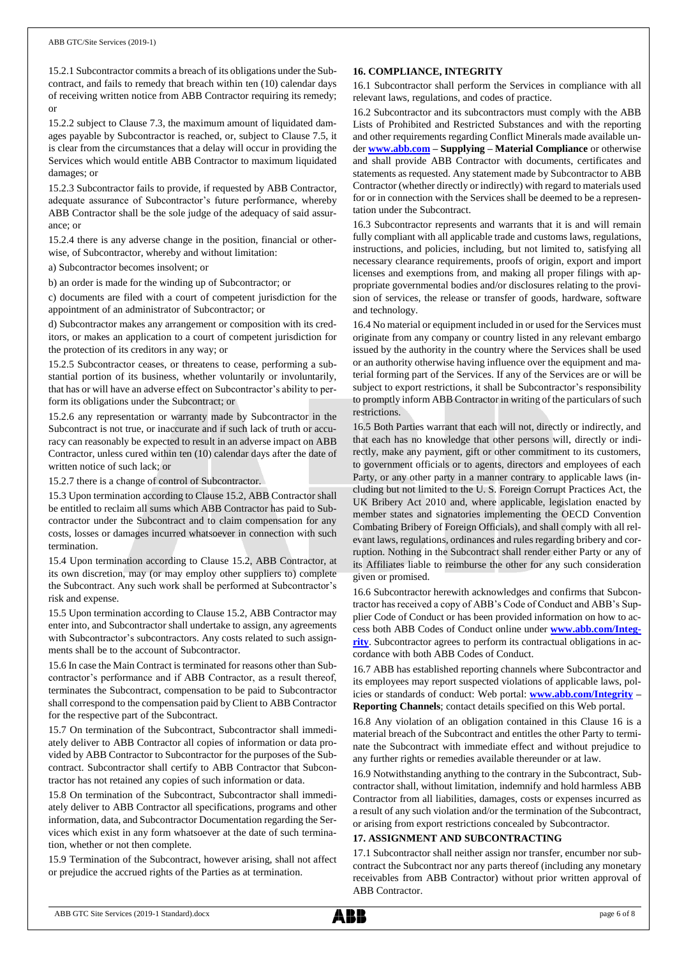15.2.1 Subcontractor commits a breach of its obligations under the Subcontract, and fails to remedy that breach within ten (10) calendar days of receiving written notice from ABB Contractor requiring its remedy; or

15.2.2 subject to Clause 7.3, the maximum amount of liquidated damages payable by Subcontractor is reached, or, subject to Clause 7.5, it is clear from the circumstances that a delay will occur in providing the Services which would entitle ABB Contractor to maximum liquidated damages; or

15.2.3 Subcontractor fails to provide, if requested by ABB Contractor, adequate assurance of Subcontractor's future performance, whereby ABB Contractor shall be the sole judge of the adequacy of said assurance; or

15.2.4 there is any adverse change in the position, financial or otherwise, of Subcontractor, whereby and without limitation:

a) Subcontractor becomes insolvent; or

b) an order is made for the winding up of Subcontractor; or

c) documents are filed with a court of competent jurisdiction for the appointment of an administrator of Subcontractor; or

d) Subcontractor makes any arrangement or composition with its creditors, or makes an application to a court of competent jurisdiction for the protection of its creditors in any way; or

15.2.5 Subcontractor ceases, or threatens to cease, performing a substantial portion of its business, whether voluntarily or involuntarily, that has or will have an adverse effect on Subcontractor's ability to perform its obligations under the Subcontract; or

15.2.6 any representation or warranty made by Subcontractor in the Subcontract is not true, or inaccurate and if such lack of truth or accuracy can reasonably be expected to result in an adverse impact on ABB Contractor, unless cured within ten (10) calendar days after the date of written notice of such lack; or

15.2.7 there is a change of control of Subcontractor.

15.3 Upon termination according to Clause 15.2, ABB Contractor shall be entitled to reclaim all sums which ABB Contractor has paid to Subcontractor under the Subcontract and to claim compensation for any costs, losses or damages incurred whatsoever in connection with such termination.

15.4 Upon termination according to Clause 15.2, ABB Contractor, at its own discretion, may (or may employ other suppliers to) complete the Subcontract. Any such work shall be performed at Subcontractor's risk and expense.

15.5 Upon termination according to Clause 15.2, ABB Contractor may enter into, and Subcontractor shall undertake to assign, any agreements with Subcontractor's subcontractors. Any costs related to such assignments shall be to the account of Subcontractor.

15.6 In case the Main Contract is terminated for reasons other than Subcontractor's performance and if ABB Contractor, as a result thereof, terminates the Subcontract, compensation to be paid to Subcontractor shall correspond to the compensation paid by Client to ABB Contractor for the respective part of the Subcontract.

15.7 On termination of the Subcontract, Subcontractor shall immediately deliver to ABB Contractor all copies of information or data provided by ABB Contractor to Subcontractor for the purposes of the Subcontract. Subcontractor shall certify to ABB Contractor that Subcontractor has not retained any copies of such information or data.

15.8 On termination of the Subcontract, Subcontractor shall immediately deliver to ABB Contractor all specifications, programs and other information, data, and Subcontractor Documentation regarding the Services which exist in any form whatsoever at the date of such termination, whether or not then complete.

15.9 Termination of the Subcontract, however arising, shall not affect or prejudice the accrued rights of the Parties as at termination.

#### **16. COMPLIANCE, INTEGRITY**

16.1 Subcontractor shall perform the Services in compliance with all relevant laws, regulations, and codes of practice.

16.2 Subcontractor and its subcontractors must comply with the ABB Lists of Prohibited and Restricted Substances and with the reporting and other requirements regarding Conflict Minerals made available under **[www.abb.com](http://www.abb.com/) – Supplying – Material Compliance** or otherwise and shall provide ABB Contractor with documents, certificates and statements as requested. Any statement made by Subcontractor to ABB Contractor (whether directly or indirectly) with regard to materials used for or in connection with the Services shall be deemed to be a representation under the Subcontract.

16.3 Subcontractor represents and warrants that it is and will remain fully compliant with all applicable trade and customs laws, regulations, instructions, and policies, including, but not limited to, satisfying all necessary clearance requirements, proofs of origin, export and import licenses and exemptions from, and making all proper filings with appropriate governmental bodies and/or disclosures relating to the provision of services, the release or transfer of goods, hardware, software and technology.

16.4 No material or equipment included in or used for the Services must originate from any company or country listed in any relevant embargo issued by the authority in the country where the Services shall be used or an authority otherwise having influence over the equipment and material forming part of the Services. If any of the Services are or will be subject to export restrictions, it shall be Subcontractor's responsibility to promptly inform ABB Contractor in writing of the particulars of such restrictions.

16.5 Both Parties warrant that each will not, directly or indirectly, and that each has no knowledge that other persons will, directly or indirectly, make any payment, gift or other commitment to its customers, to government officials or to agents, directors and employees of each Party, or any other party in a manner contrary to applicable laws (including but not limited to the U. S. Foreign Corrupt Practices Act, the UK Bribery Act 2010 and, where applicable, legislation enacted by member states and signatories implementing the OECD Convention Combating Bribery of Foreign Officials), and shall comply with all relevant laws, regulations, ordinances and rules regarding bribery and corruption. Nothing in the Subcontract shall render either Party or any of its Affiliates liable to reimburse the other for any such consideration given or promised.

16.6 Subcontractor herewith acknowledges and confirms that Subcontractor has received a copy of ABB's Code of Conduct and ABB's Supplier Code of Conduct or has been provided information on how to access both ABB Codes of Conduct online under **[www.abb.com/Integ](http://www.abb.com/Integrity)[rity](http://www.abb.com/Integrity)**. Subcontractor agrees to perform its contractual obligations in accordance with both ABB Codes of Conduct.

16.7 ABB has established reporting channels where Subcontractor and its employees may report suspected violations of applicable laws, policies or standards of conduct: Web portal: **[www.abb.com/Integrity](http://www.abb.com/Integrity) – Reporting Channels**; contact details specified on this Web portal.

16.8 Any violation of an obligation contained in this Clause 16 is a material breach of the Subcontract and entitles the other Party to terminate the Subcontract with immediate effect and without prejudice to any further rights or remedies available thereunder or at law.

16.9 Notwithstanding anything to the contrary in the Subcontract, Subcontractor shall, without limitation, indemnify and hold harmless ABB Contractor from all liabilities, damages, costs or expenses incurred as a result of any such violation and/or the termination of the Subcontract, or arising from export restrictions concealed by Subcontractor.

# **17. ASSIGNMENT AND SUBCONTRACTING**

17.1 Subcontractor shall neither assign nor transfer, encumber nor subcontract the Subcontract nor any parts thereof (including any monetary receivables from ABB Contractor) without prior written approval of ABB Contractor.

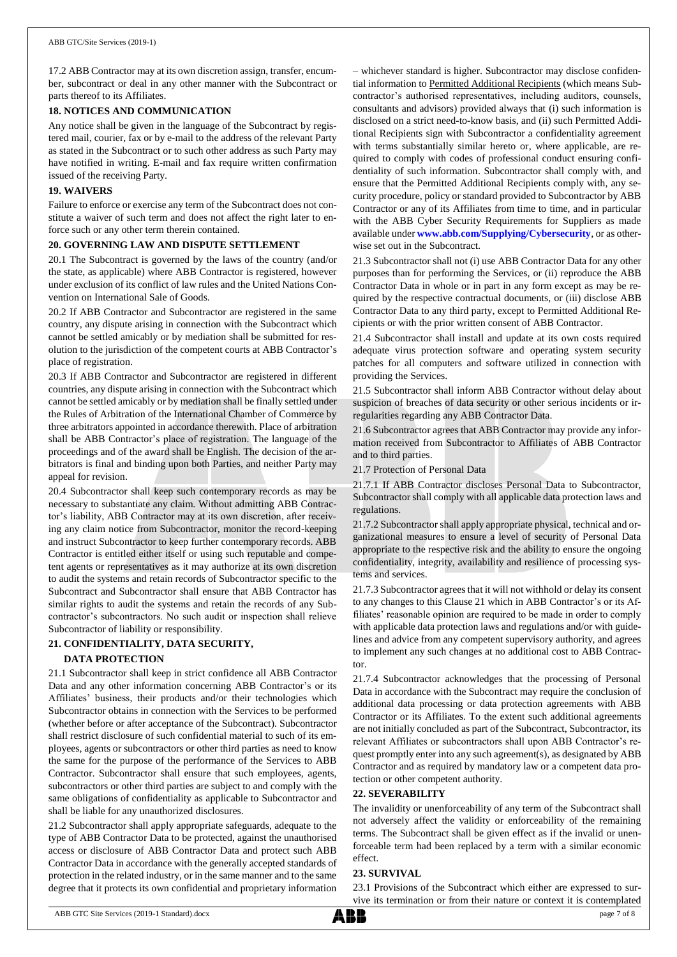17.2 ABB Contractor may at its own discretion assign, transfer, encumber, subcontract or deal in any other manner with the Subcontract or parts thereof to its Affiliates.

### **18. NOTICES AND COMMUNICATION**

Any notice shall be given in the language of the Subcontract by registered mail, courier, fax or by e-mail to the address of the relevant Party as stated in the Subcontract or to such other address as such Party may have notified in writing. E-mail and fax require written confirmation issued of the receiving Party.

### **19. WAIVERS**

Failure to enforce or exercise any term of the Subcontract does not constitute a waiver of such term and does not affect the right later to enforce such or any other term therein contained.

## **20. GOVERNING LAW AND DISPUTE SETTLEMENT**

20.1 The Subcontract is governed by the laws of the country (and/or the state, as applicable) where ABB Contractor is registered, however under exclusion of its conflict of law rules and the United Nations Convention on International Sale of Goods.

20.2 If ABB Contractor and Subcontractor are registered in the same country, any dispute arising in connection with the Subcontract which cannot be settled amicably or by mediation shall be submitted for resolution to the jurisdiction of the competent courts at ABB Contractor's place of registration.

20.3 If ABB Contractor and Subcontractor are registered in different countries, any dispute arising in connection with the Subcontract which cannot be settled amicably or by mediation shall be finally settled under the Rules of Arbitration of the International Chamber of Commerce by three arbitrators appointed in accordance therewith. Place of arbitration shall be ABB Contractor's place of registration. The language of the proceedings and of the award shall be English. The decision of the arbitrators is final and binding upon both Parties, and neither Party may appeal for revision.

20.4 Subcontractor shall keep such contemporary records as may be necessary to substantiate any claim. Without admitting ABB Contractor's liability, ABB Contractor may at its own discretion, after receiving any claim notice from Subcontractor, monitor the record-keeping and instruct Subcontractor to keep further contemporary records. ABB Contractor is entitled either itself or using such reputable and competent agents or representatives as it may authorize at its own discretion to audit the systems and retain records of Subcontractor specific to the Subcontract and Subcontractor shall ensure that ABB Contractor has similar rights to audit the systems and retain the records of any Subcontractor's subcontractors. No such audit or inspection shall relieve Subcontractor of liability or responsibility.

# **21. CONFIDENTIALITY, DATA SECURITY,**

#### **DATA PROTECTION**

21.1 Subcontractor shall keep in strict confidence all ABB Contractor Data and any other information concerning ABB Contractor's or its Affiliates' business, their products and/or their technologies which Subcontractor obtains in connection with the Services to be performed (whether before or after acceptance of the Subcontract). Subcontractor shall restrict disclosure of such confidential material to such of its employees, agents or subcontractors or other third parties as need to know the same for the purpose of the performance of the Services to ABB Contractor. Subcontractor shall ensure that such employees, agents, subcontractors or other third parties are subject to and comply with the same obligations of confidentiality as applicable to Subcontractor and shall be liable for any unauthorized disclosures.

21.2 Subcontractor shall apply appropriate safeguards, adequate to the type of ABB Contractor Data to be protected, against the unauthorised access or disclosure of ABB Contractor Data and protect such ABB Contractor Data in accordance with the generally accepted standards of protection in the related industry, or in the same manner and to the same degree that it protects its own confidential and proprietary information

– whichever standard is higher. Subcontractor may disclose confidential information to Permitted Additional Recipients (which means Subcontractor's authorised representatives, including auditors, counsels, consultants and advisors) provided always that (i) such information is disclosed on a strict need-to-know basis, and (ii) such Permitted Additional Recipients sign with Subcontractor a confidentiality agreement with terms substantially similar hereto or, where applicable, are required to comply with codes of professional conduct ensuring confidentiality of such information. Subcontractor shall comply with, and ensure that the Permitted Additional Recipients comply with, any security procedure, policy or standard provided to Subcontractor by ABB Contractor or any of its Affiliates from time to time, and in particular with the ABB Cyber Security Requirements for Suppliers as made available under **www.abb.com/Supplying/Cybersecurity**, or as otherwise set out in the Subcontract.

21.3 Subcontractor shall not (i) use ABB Contractor Data for any other purposes than for performing the Services, or (ii) reproduce the ABB Contractor Data in whole or in part in any form except as may be required by the respective contractual documents, or (iii) disclose ABB Contractor Data to any third party, except to Permitted Additional Recipients or with the prior written consent of ABB Contractor.

21.4 Subcontractor shall install and update at its own costs required adequate virus protection software and operating system security patches for all computers and software utilized in connection with providing the Services.

21.5 Subcontractor shall inform ABB Contractor without delay about suspicion of breaches of data security or other serious incidents or irregularities regarding any ABB Contractor Data.

21.6 Subcontractor agrees that ABB Contractor may provide any information received from Subcontractor to Affiliates of ABB Contractor and to third parties.

21.7 Protection of Personal Data

21.7.1 If ABB Contractor discloses Personal Data to Subcontractor, Subcontractor shall comply with all applicable data protection laws and regulations.

21.7.2 Subcontractor shall apply appropriate physical, technical and organizational measures to ensure a level of security of Personal Data appropriate to the respective risk and the ability to ensure the ongoing confidentiality, integrity, availability and resilience of processing systems and services.

21.7.3 Subcontractor agrees that it will not withhold or delay its consent to any changes to this Clause 21 which in ABB Contractor's or its Affiliates' reasonable opinion are required to be made in order to comply with applicable data protection laws and regulations and/or with guidelines and advice from any competent supervisory authority, and agrees to implement any such changes at no additional cost to ABB Contractor.

21.7.4 Subcontractor acknowledges that the processing of Personal Data in accordance with the Subcontract may require the conclusion of additional data processing or data protection agreements with ABB Contractor or its Affiliates. To the extent such additional agreements are not initially concluded as part of the Subcontract, Subcontractor, its relevant Affiliates or subcontractors shall upon ABB Contractor's request promptly enter into any such agreement(s), as designated by ABB Contractor and as required by mandatory law or a competent data protection or other competent authority.

#### **22. SEVERABILITY**

The invalidity or unenforceability of any term of the Subcontract shall not adversely affect the validity or enforceability of the remaining terms. The Subcontract shall be given effect as if the invalid or unenforceable term had been replaced by a term with a similar economic effect.

#### **23. SURVIVAL**

23.1 Provisions of the Subcontract which either are expressed to survive its termination or from their nature or context it is contemplated